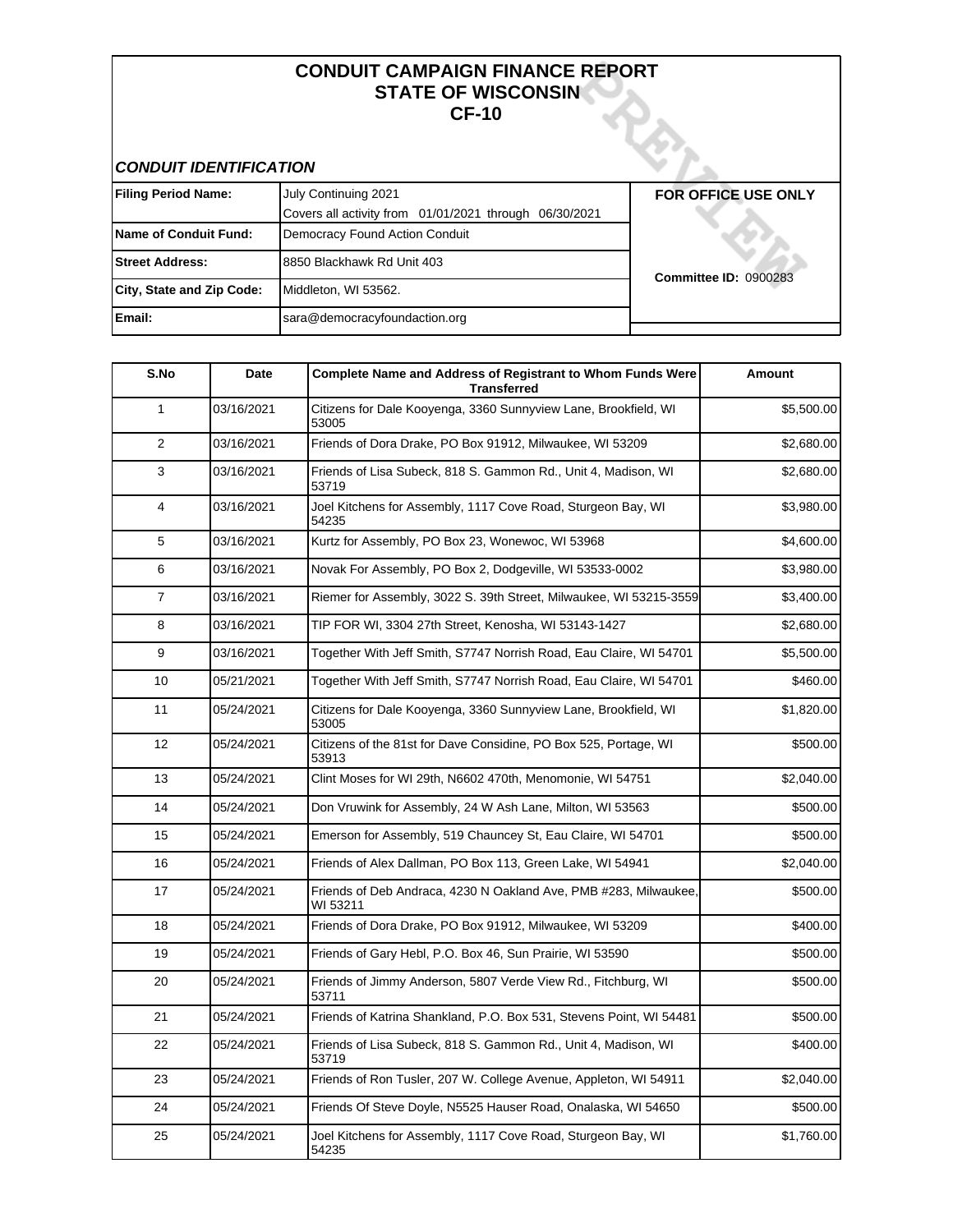### **CONDUIT CAMPAIGN FINANCE REPORT STATE OF WISCONSIN CF-10**

## **CONDUIT IDENTIFICATION**

| <b>Filing Period Name:</b>   | July Continuing 2021                                   | <b>FOR OFFICE USE ONLY</b>   |
|------------------------------|--------------------------------------------------------|------------------------------|
|                              | Covers all activity from 01/01/2021 through 06/30/2021 |                              |
| <b>Name of Conduit Fund:</b> | Democracy Found Action Conduit                         |                              |
| <b>Street Address:</b>       | 8850 Blackhawk Rd Unit 403                             | <b>Committee ID: 0900283</b> |
| City, State and Zip Code:    | Middleton, WI 53562.                                   |                              |
| <b>Email:</b>                | sara@democracyfoundaction.org                          |                              |

| S.No         | Date       | Complete Name and Address of Registrant to Whom Funds Were<br><b>Transferred</b> | Amount     |
|--------------|------------|----------------------------------------------------------------------------------|------------|
| $\mathbf{1}$ | 03/16/2021 | Citizens for Dale Kooyenga, 3360 Sunnyview Lane, Brookfield, WI<br>53005         | \$5,500.00 |
| 2            | 03/16/2021 | Friends of Dora Drake, PO Box 91912, Milwaukee, WI 53209                         | \$2,680.00 |
| 3            | 03/16/2021 | Friends of Lisa Subeck, 818 S. Gammon Rd., Unit 4, Madison, WI<br>53719          | \$2,680.00 |
| 4            | 03/16/2021 | Joel Kitchens for Assembly, 1117 Cove Road, Sturgeon Bay, WI<br>54235            | \$3,980.00 |
| 5            | 03/16/2021 | Kurtz for Assembly, PO Box 23, Wonewoc, WI 53968                                 | \$4,600.00 |
| 6            | 03/16/2021 | Novak For Assembly, PO Box 2, Dodgeville, WI 53533-0002                          | \$3,980.00 |
| 7            | 03/16/2021 | Riemer for Assembly, 3022 S. 39th Street, Milwaukee, WI 53215-3559               | \$3,400.00 |
| 8            | 03/16/2021 | TIP FOR WI, 3304 27th Street, Kenosha, WI 53143-1427                             | \$2,680.00 |
| 9            | 03/16/2021 | Together With Jeff Smith, S7747 Norrish Road, Eau Claire, WI 54701               | \$5,500.00 |
| 10           | 05/21/2021 | Together With Jeff Smith, S7747 Norrish Road, Eau Claire, WI 54701               | \$460.00   |
| 11           | 05/24/2021 | Citizens for Dale Kooyenga, 3360 Sunnyview Lane, Brookfield, WI<br>53005         | \$1,820.00 |
| 12           | 05/24/2021 | Citizens of the 81st for Dave Considine, PO Box 525, Portage, WI<br>53913        | \$500.00   |
| 13           | 05/24/2021 | Clint Moses for WI 29th, N6602 470th, Menomonie, WI 54751                        | \$2,040.00 |
| 14           | 05/24/2021 | Don Vruwink for Assembly, 24 W Ash Lane, Milton, WI 53563                        | \$500.00   |
| 15           | 05/24/2021 | Emerson for Assembly, 519 Chauncey St, Eau Claire, WI 54701                      | \$500.00   |
| 16           | 05/24/2021 | Friends of Alex Dallman, PO Box 113, Green Lake, WI 54941                        | \$2,040.00 |
| 17           | 05/24/2021 | Friends of Deb Andraca, 4230 N Oakland Ave, PMB #283, Milwaukee,<br>WI 53211     | \$500.00   |
| 18           | 05/24/2021 | Friends of Dora Drake, PO Box 91912, Milwaukee, WI 53209                         | \$400.00   |
| 19           | 05/24/2021 | Friends of Gary Hebl, P.O. Box 46, Sun Prairie, WI 53590                         | \$500.00   |
| 20           | 05/24/2021 | Friends of Jimmy Anderson, 5807 Verde View Rd., Fitchburg, WI<br>53711           | \$500.00   |
| 21           | 05/24/2021 | Friends of Katrina Shankland, P.O. Box 531, Stevens Point, WI 54481              | \$500.00   |
| 22           | 05/24/2021 | Friends of Lisa Subeck, 818 S. Gammon Rd., Unit 4, Madison, WI<br>53719          | \$400.00   |
| 23           | 05/24/2021 | Friends of Ron Tusler, 207 W. College Avenue, Appleton, WI 54911                 | \$2,040.00 |
| 24           | 05/24/2021 | Friends Of Steve Doyle, N5525 Hauser Road, Onalaska, WI 54650                    | \$500.00   |
| 25           | 05/24/2021 | Joel Kitchens for Assembly, 1117 Cove Road, Sturgeon Bay, WI<br>54235            | \$1,760.00 |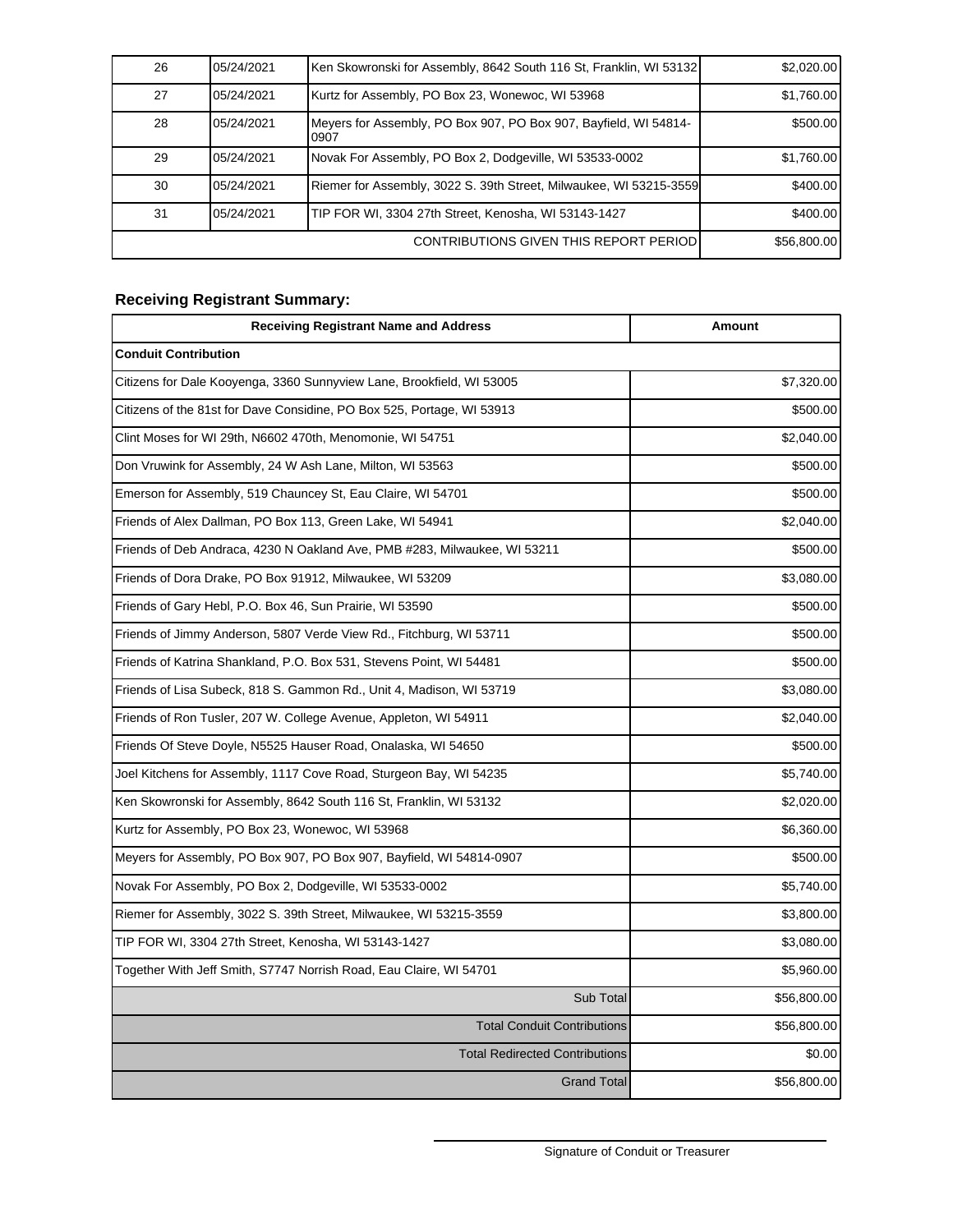| 26 | 05/24/2021 | Ken Skowronski for Assembly, 8642 South 116 St, Franklin, WI 53132       | \$2,020.00  |
|----|------------|--------------------------------------------------------------------------|-------------|
| 27 | 05/24/2021 | Kurtz for Assembly, PO Box 23, Wonewoc, WI 53968                         | \$1,760.00  |
| 28 | 05/24/2021 | Meyers for Assembly, PO Box 907, PO Box 907, Bayfield, WI 54814-<br>0907 | \$500.00    |
| 29 | 05/24/2021 | Novak For Assembly, PO Box 2, Dodgeville, WI 53533-0002                  | \$1,760.00  |
| 30 | 05/24/2021 | Riemer for Assembly, 3022 S. 39th Street, Milwaukee, WI 53215-3559       | \$400.00]   |
| 31 | 05/24/2021 | TIP FOR WI, 3304 27th Street, Kenosha, WI 53143-1427                     | \$400.00]   |
|    |            | CONTRIBUTIONS GIVEN THIS REPORT PERIOD                                   | \$56,800.00 |

## **Receiving Registrant Summary:**

| <b>Receiving Registrant Name and Address</b>                              | Amount      |
|---------------------------------------------------------------------------|-------------|
| <b>Conduit Contribution</b>                                               |             |
| Citizens for Dale Kooyenga, 3360 Sunnyview Lane, Brookfield, WI 53005     | \$7,320.00  |
| Citizens of the 81st for Dave Considine, PO Box 525, Portage, WI 53913    | \$500.00    |
| Clint Moses for WI 29th, N6602 470th, Menomonie, WI 54751                 | \$2,040.00  |
| Don Vruwink for Assembly, 24 W Ash Lane, Milton, WI 53563                 | \$500.00    |
| Emerson for Assembly, 519 Chauncey St, Eau Claire, WI 54701               | \$500.00    |
| Friends of Alex Dallman, PO Box 113, Green Lake, WI 54941                 | \$2,040.00  |
| Friends of Deb Andraca, 4230 N Oakland Ave, PMB #283, Milwaukee, WI 53211 | \$500.00    |
| Friends of Dora Drake, PO Box 91912, Milwaukee, WI 53209                  | \$3,080.00  |
| Friends of Gary Hebl, P.O. Box 46, Sun Prairie, WI 53590                  | \$500.00    |
| Friends of Jimmy Anderson, 5807 Verde View Rd., Fitchburg, WI 53711       | \$500.00    |
| Friends of Katrina Shankland, P.O. Box 531, Stevens Point, WI 54481       | \$500.00    |
| Friends of Lisa Subeck, 818 S. Gammon Rd., Unit 4, Madison, WI 53719      | \$3,080.00  |
| Friends of Ron Tusler, 207 W. College Avenue, Appleton, WI 54911          | \$2,040.00  |
| Friends Of Steve Doyle, N5525 Hauser Road, Onalaska, WI 54650             | \$500.00    |
| Joel Kitchens for Assembly, 1117 Cove Road, Sturgeon Bay, WI 54235        | \$5,740.00  |
| Ken Skowronski for Assembly, 8642 South 116 St, Franklin, WI 53132        | \$2,020.00  |
| Kurtz for Assembly, PO Box 23, Wonewoc, WI 53968                          | \$6,360.00  |
| Meyers for Assembly, PO Box 907, PO Box 907, Bayfield, WI 54814-0907      | \$500.00    |
| Novak For Assembly, PO Box 2, Dodgeville, WI 53533-0002                   | \$5,740.00  |
| Riemer for Assembly, 3022 S. 39th Street, Milwaukee, WI 53215-3559        | \$3,800.00  |
| TIP FOR WI, 3304 27th Street, Kenosha, WI 53143-1427                      | \$3,080.00  |
| Together With Jeff Smith, S7747 Norrish Road, Eau Claire, WI 54701        | \$5,960.00  |
| Sub Total                                                                 | \$56,800.00 |
| <b>Total Conduit Contributions</b>                                        | \$56,800.00 |
| <b>Total Redirected Contributions</b>                                     | \$0.00      |
| <b>Grand Total</b>                                                        | \$56,800.00 |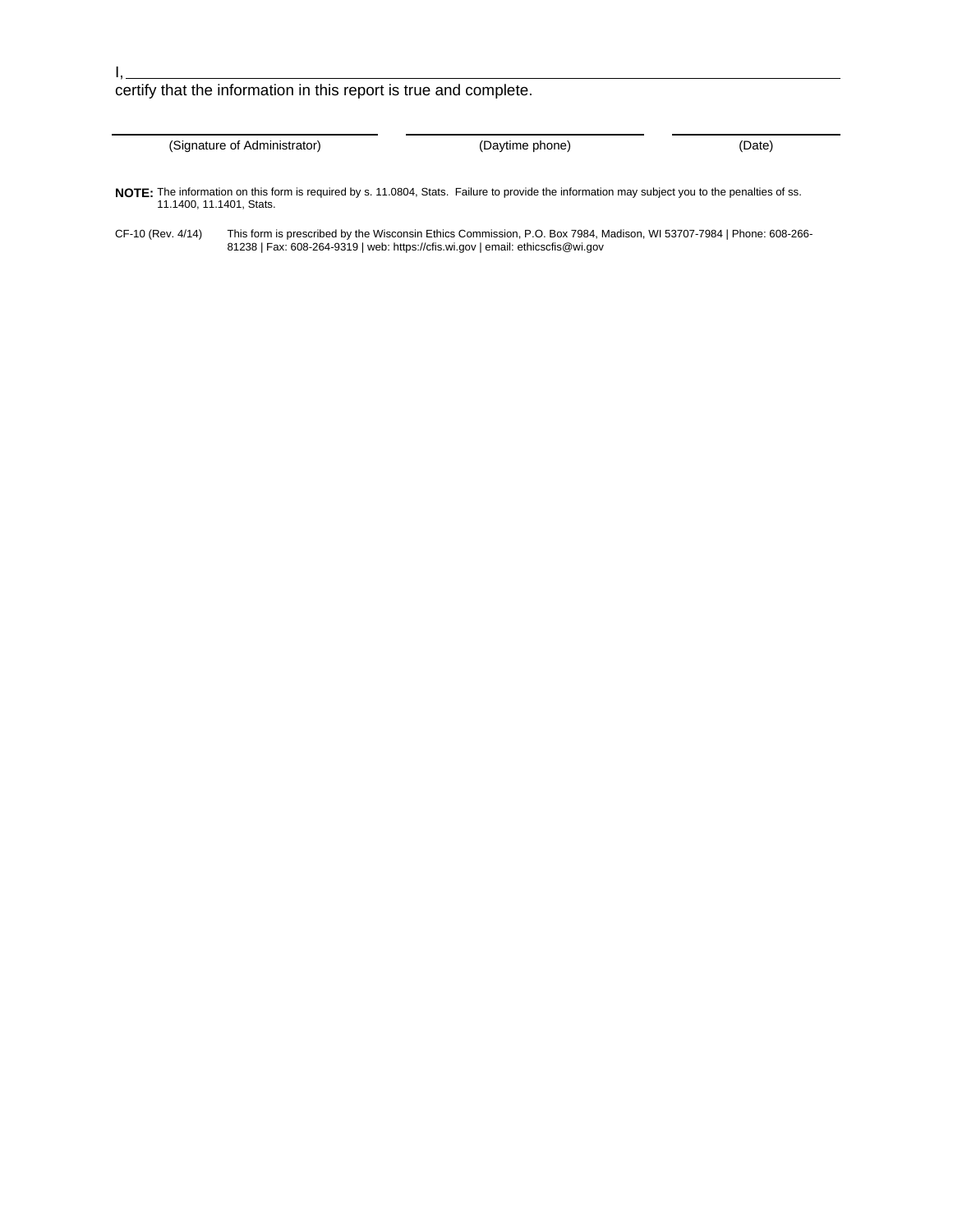## certify that the information in this report is true and complete.

(Signature of Administrator) (Daytime phone) (Date)

**NOTE:** The information on this form is required by s. 11.0804, Stats. Failure to provide the information may subject you to the penalties of ss. 11.1400, 11.1401, Stats.

CF-10 (Rev. 4/14) This form is prescribed by the Wisconsin Ethics Commission, P.O. Box 7984, Madison, WI 53707-7984 | Phone: 608-266- 81238 | Fax: 608-264-9319 | web: https://cfis.wi.gov | email: ethicscfis@wi.gov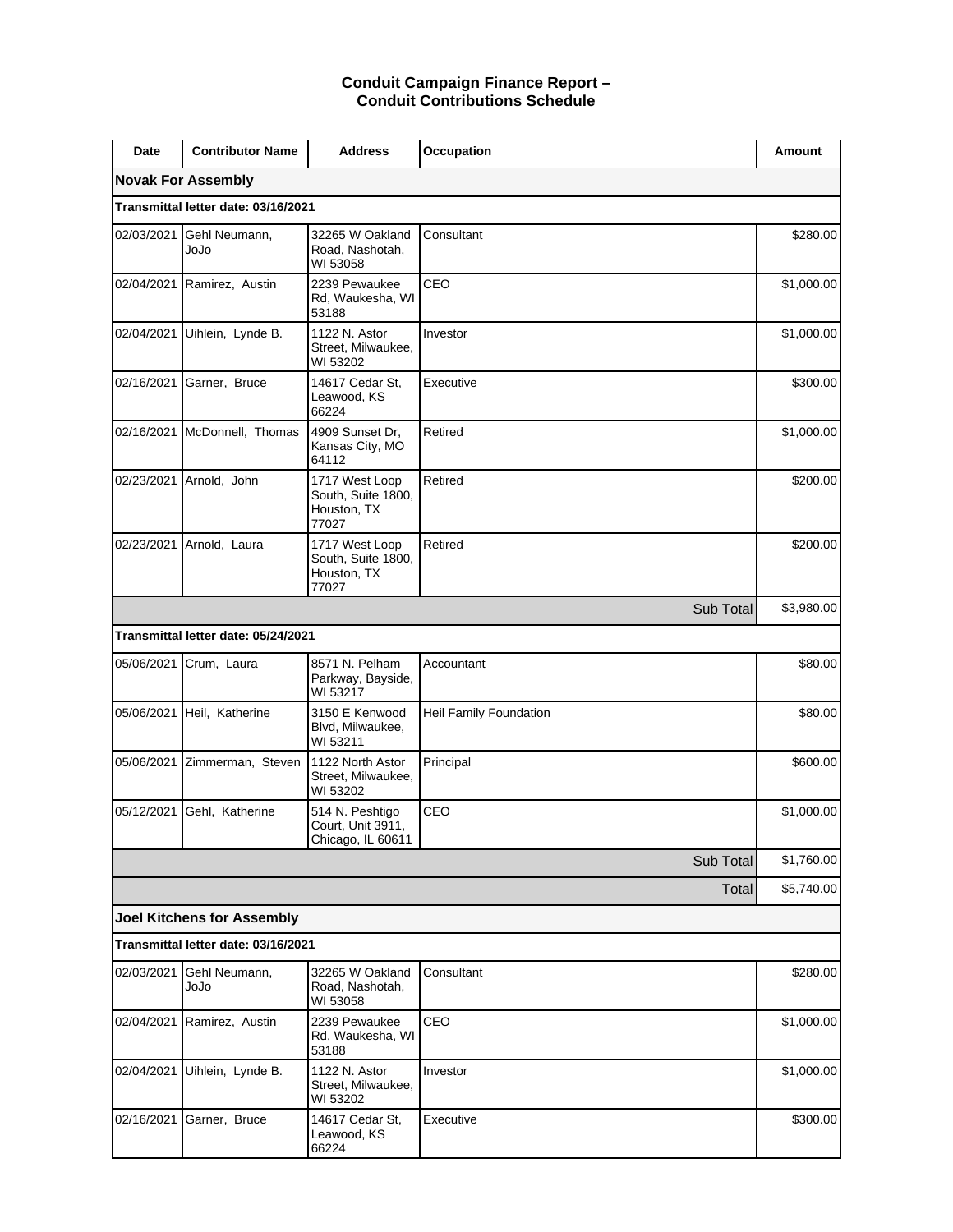### **Conduit Campaign Finance Report – Conduit Contributions Schedule**

| Date       | <b>Contributor Name</b>             | <b>Address</b>                                               | Occupation             | Amount     |
|------------|-------------------------------------|--------------------------------------------------------------|------------------------|------------|
|            | <b>Novak For Assembly</b>           |                                                              |                        |            |
|            | Transmittal letter date: 03/16/2021 |                                                              |                        |            |
| 02/03/2021 | Gehl Neumann,<br>olol               | 32265 W Oakland<br>Road, Nashotah,<br>WI 53058               | Consultant             | \$280.00   |
|            | 02/04/2021 Ramirez, Austin          | 2239 Pewaukee<br>Rd, Waukesha, WI<br>53188                   | CEO                    | \$1,000.00 |
|            | 02/04/2021 Uihlein, Lynde B.        | 1122 N. Astor<br>Street, Milwaukee,<br>WI 53202              | Investor               | \$1,000.00 |
| 02/16/2021 | Garner, Bruce                       | 14617 Cedar St,<br>Leawood, KS<br>66224                      | Executive              | \$300.00   |
| 02/16/2021 | McDonnell, Thomas                   | 4909 Sunset Dr,<br>Kansas City, MO<br>64112                  | Retired                | \$1,000.00 |
| 02/23/2021 | Arnold, John                        | 1717 West Loop<br>South, Suite 1800,<br>Houston, TX<br>77027 | Retired                | \$200.00   |
| 02/23/2021 | Arnold, Laura                       | 1717 West Loop<br>South, Suite 1800,<br>Houston, TX<br>77027 | Retired                | \$200.00   |
|            |                                     |                                                              | Sub Total              | \$3,980.00 |
|            | Transmittal letter date: 05/24/2021 |                                                              |                        |            |
| 05/06/2021 | Crum, Laura                         | 8571 N. Pelham<br>Parkway, Bayside,<br>WI 53217              | Accountant             | \$80.00    |
| 05/06/2021 | Heil, Katherine                     | 3150 E Kenwood<br>Blvd, Milwaukee,<br>WI 53211               | Heil Family Foundation | \$80.00    |
|            | 05/06/2021 Zimmerman, Steven        | 1122 North Astor<br>Street, Milwaukee,<br>WI 53202           | Principal              | \$600.00   |
| 05/12/2021 | Gehl, Katherine                     | 514 N. Peshtigo<br>Court, Unit 3911,<br>Chicago, IL 60611    | CEO                    | \$1,000.00 |
|            |                                     |                                                              | Sub Total              | \$1,760.00 |
|            |                                     |                                                              | Total                  | \$5,740.00 |
|            | <b>Joel Kitchens for Assembly</b>   |                                                              |                        |            |
|            | Transmittal letter date: 03/16/2021 |                                                              |                        |            |
| 02/03/2021 | Gehl Neumann,<br>ეიეი               | 32265 W Oakland<br>Road, Nashotah,<br>WI 53058               | Consultant             | \$280.00   |
| 02/04/2021 | Ramirez, Austin                     | 2239 Pewaukee<br>Rd, Waukesha, WI<br>53188                   | CEO                    | \$1,000.00 |
| 02/04/2021 | Uihlein, Lynde B.                   | 1122 N. Astor<br>Street, Milwaukee,<br>WI 53202              | Investor               | \$1,000.00 |
| 02/16/2021 | Garner, Bruce                       | 14617 Cedar St,<br>Leawood, KS<br>66224                      | Executive              | \$300.00   |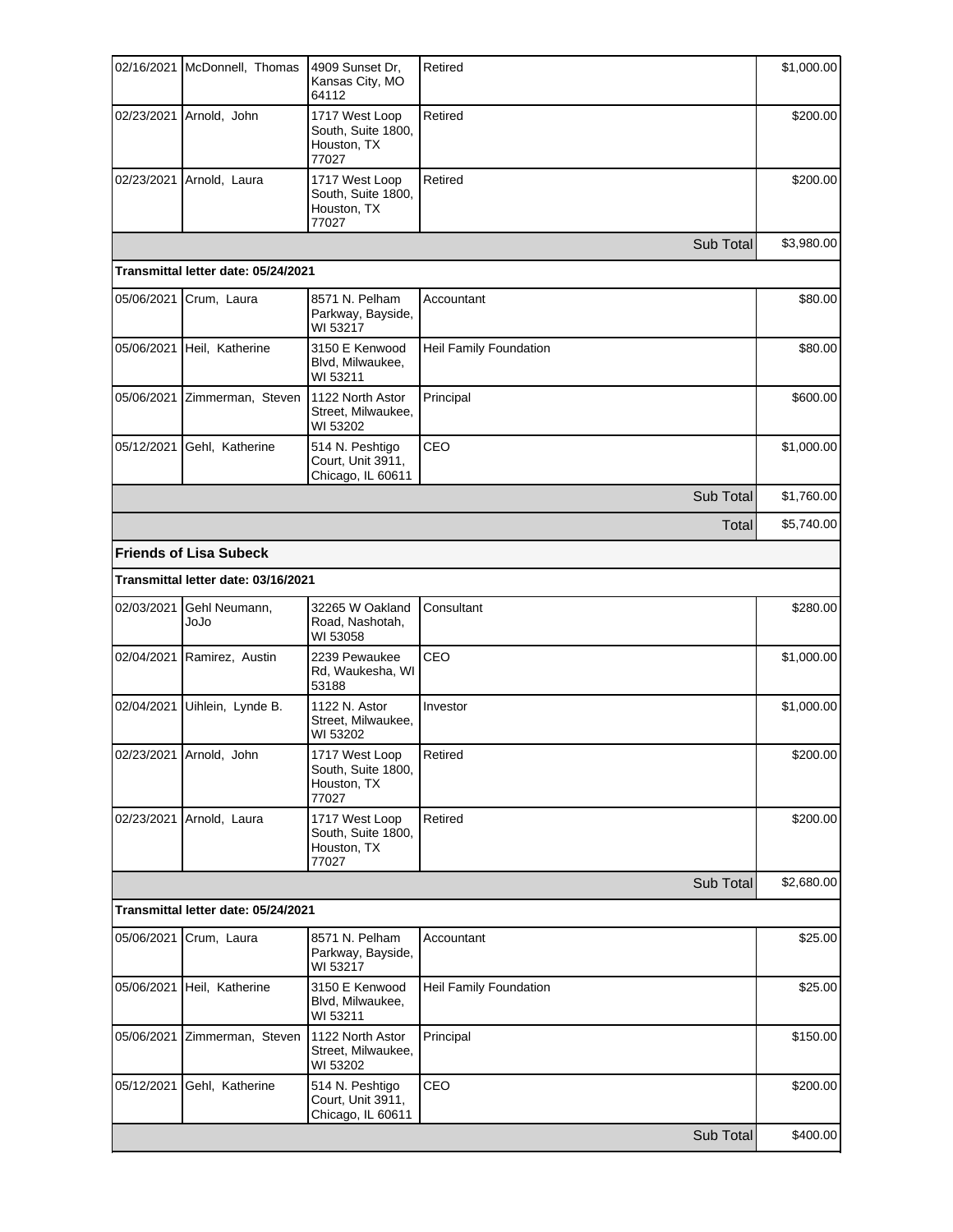|            | 02/16/2021 McDonnell, Thomas        | 4909 Sunset Dr,<br>Kansas City, MO<br>64112                  | Retired                | \$1,000.00 |
|------------|-------------------------------------|--------------------------------------------------------------|------------------------|------------|
|            | 02/23/2021 Arnold, John             | 1717 West Loop<br>South, Suite 1800,<br>Houston, TX<br>77027 | Retired                | \$200.00   |
|            | 02/23/2021 Arnold, Laura            | 1717 West Loop<br>South, Suite 1800,<br>Houston, TX<br>77027 | Retired                | \$200.00   |
|            |                                     |                                                              | Sub Total              | \$3,980.00 |
|            | Transmittal letter date: 05/24/2021 |                                                              |                        |            |
| 05/06/2021 | Crum, Laura                         | 8571 N. Pelham<br>Parkway, Bayside,<br>WI 53217              | Accountant             | \$80.00    |
|            | 05/06/2021 Heil, Katherine          | 3150 E Kenwood<br>Blvd, Milwaukee,<br>WI 53211               | Heil Family Foundation | \$80.00    |
|            | 05/06/2021 Zimmerman, Steven        | 1122 North Astor<br>Street, Milwaukee,<br>WI 53202           | Principal              | \$600.00   |
| 05/12/2021 | Gehl, Katherine                     | 514 N. Peshtigo<br>Court, Unit 3911,<br>Chicago, IL 60611    | CEO                    | \$1,000.00 |
|            |                                     |                                                              | Sub Total              | \$1,760.00 |
|            |                                     |                                                              | Total                  | \$5,740.00 |
|            | <b>Friends of Lisa Subeck</b>       |                                                              |                        |            |
|            | Transmittal letter date: 03/16/2021 |                                                              |                        |            |
| 02/03/2021 | Gehl Neumann,<br>olol               | 32265 W Oakland<br>Road, Nashotah,<br>WI 53058               | Consultant             | \$280.00   |
|            | 02/04/2021 Ramirez, Austin          | 2239 Pewaukee<br>Rd, Waukesha, WI<br>53188                   | CEO                    | \$1,000.00 |
| 02/04/2021 | Uihlein, Lynde B.                   | 1122 N. Astor<br>Street, Milwaukee,<br>WI 53202              | Investor               | \$1,000.00 |
|            | 02/23/2021 Arnold, John             | 1717 West Loop<br>South, Suite 1800,<br>Houston, TX<br>77027 | Retired                | \$200.00   |
| 02/23/2021 | Arnold, Laura                       | 1717 West Loop<br>South, Suite 1800,<br>Houston, TX<br>77027 | Retired                | \$200.00   |
|            |                                     |                                                              | Sub Total              | \$2,680.00 |
|            | Transmittal letter date: 05/24/2021 |                                                              |                        |            |
| 05/06/2021 | Crum, Laura                         | 8571 N. Pelham<br>Parkway, Bayside,<br>WI 53217              | Accountant             | \$25.00    |
| 05/06/2021 | Heil, Katherine                     | 3150 E Kenwood<br>Blvd, Milwaukee,<br>WI 53211               | Heil Family Foundation | \$25.00    |
| 05/06/2021 | Zimmerman, Steven                   | 1122 North Astor<br>Street, Milwaukee,<br>WI 53202           | Principal              | \$150.00   |
| 05/12/2021 | Gehl, Katherine                     | 514 N. Peshtigo<br>Court, Unit 3911,<br>Chicago, IL 60611    | CEO                    | \$200.00   |
|            |                                     |                                                              | Sub Total              | \$400.00   |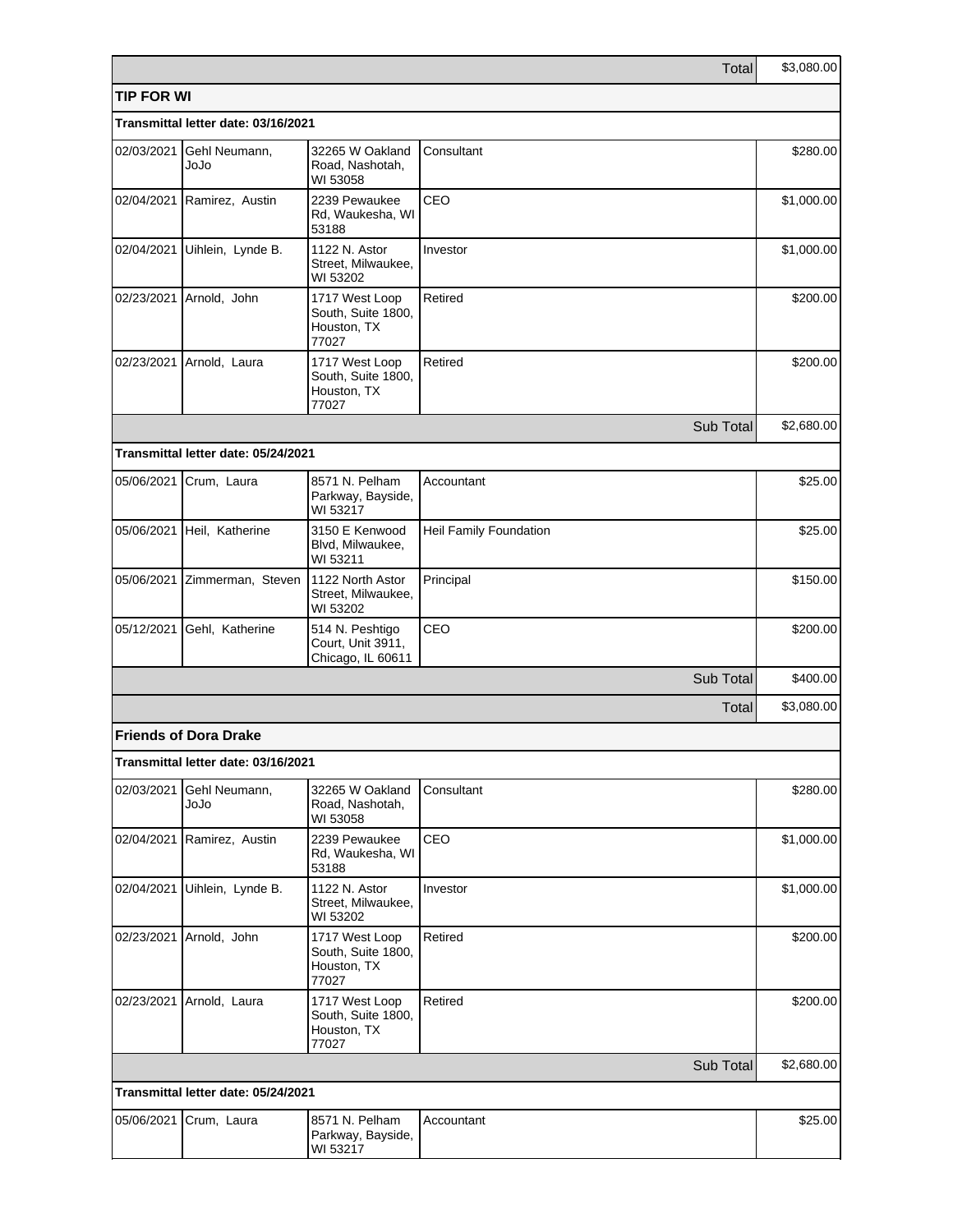|                   |                                     |                                                              | Total                  | \$3,080.00 |
|-------------------|-------------------------------------|--------------------------------------------------------------|------------------------|------------|
| <b>TIP FOR WI</b> |                                     |                                                              |                        |            |
|                   | Transmittal letter date: 03/16/2021 |                                                              |                        |            |
| 02/03/2021        | Gehl Neumann,<br>olol               | 32265 W Oakland<br>Road, Nashotah,<br>WI 53058               | Consultant             | \$280.00   |
|                   | 02/04/2021 Ramirez, Austin          | 2239 Pewaukee<br>Rd, Waukesha, WI<br>53188                   | CEO                    | \$1,000.00 |
| 02/04/2021        | Uihlein, Lynde B.                   | 1122 N. Astor<br>Street, Milwaukee,<br>WI 53202              | Investor               | \$1,000.00 |
|                   | 02/23/2021 Arnold, John             | 1717 West Loop<br>South, Suite 1800,<br>Houston, TX<br>77027 | Retired                | \$200.00   |
|                   | 02/23/2021 Arnold, Laura            | 1717 West Loop<br>South, Suite 1800,<br>Houston, TX<br>77027 | Retired                | \$200.00   |
|                   |                                     |                                                              | Sub Total              | \$2,680.00 |
|                   | Transmittal letter date: 05/24/2021 |                                                              |                        |            |
|                   | 05/06/2021 Crum, Laura              | 8571 N. Pelham<br>Parkway, Bayside,<br>WI 53217              | Accountant             | \$25.00    |
|                   | 05/06/2021 Heil, Katherine          | 3150 E Kenwood<br>Blvd, Milwaukee,<br>WI 53211               | Heil Family Foundation | \$25.00    |
|                   | 05/06/2021 Zimmerman, Steven        | 1122 North Astor<br>Street, Milwaukee,<br>WI 53202           | Principal              | \$150.00   |
| 05/12/2021        | Gehl, Katherine                     | 514 N. Peshtigo<br>Court, Unit 3911,<br>Chicago, IL 60611    | CEO                    | \$200.00   |
|                   |                                     |                                                              | Sub Total              | \$400.00   |
|                   |                                     |                                                              | Total                  | \$3,080.00 |
|                   | <b>Friends of Dora Drake</b>        |                                                              |                        |            |
|                   | Transmittal letter date: 03/16/2021 |                                                              |                        |            |
| 02/03/2021        | Gehl Neumann,<br>olol               | 32265 W Oakland<br>Road, Nashotah,<br>WI 53058               | Consultant             | \$280.00   |
|                   | 02/04/2021 Ramirez, Austin          | 2239 Pewaukee<br>Rd, Waukesha, WI<br>53188                   | CEO                    | \$1,000.00 |
| 02/04/2021        | Uihlein, Lynde B.                   | 1122 N. Astor<br>Street, Milwaukee,<br>WI 53202              | Investor               | \$1,000.00 |
|                   | 02/23/2021 Arnold, John             | 1717 West Loop<br>South, Suite 1800,<br>Houston, TX<br>77027 | Retired                | \$200.00   |
| 02/23/2021        | Arnold, Laura                       | 1717 West Loop<br>South, Suite 1800,<br>Houston, TX<br>77027 | Retired                | \$200.00   |
|                   |                                     |                                                              | Sub Total              | \$2,680.00 |
|                   | Transmittal letter date: 05/24/2021 |                                                              |                        |            |
| 05/06/2021        | Crum, Laura                         | 8571 N. Pelham<br>Parkway, Bayside,<br>WI 53217              | Accountant             | \$25.00    |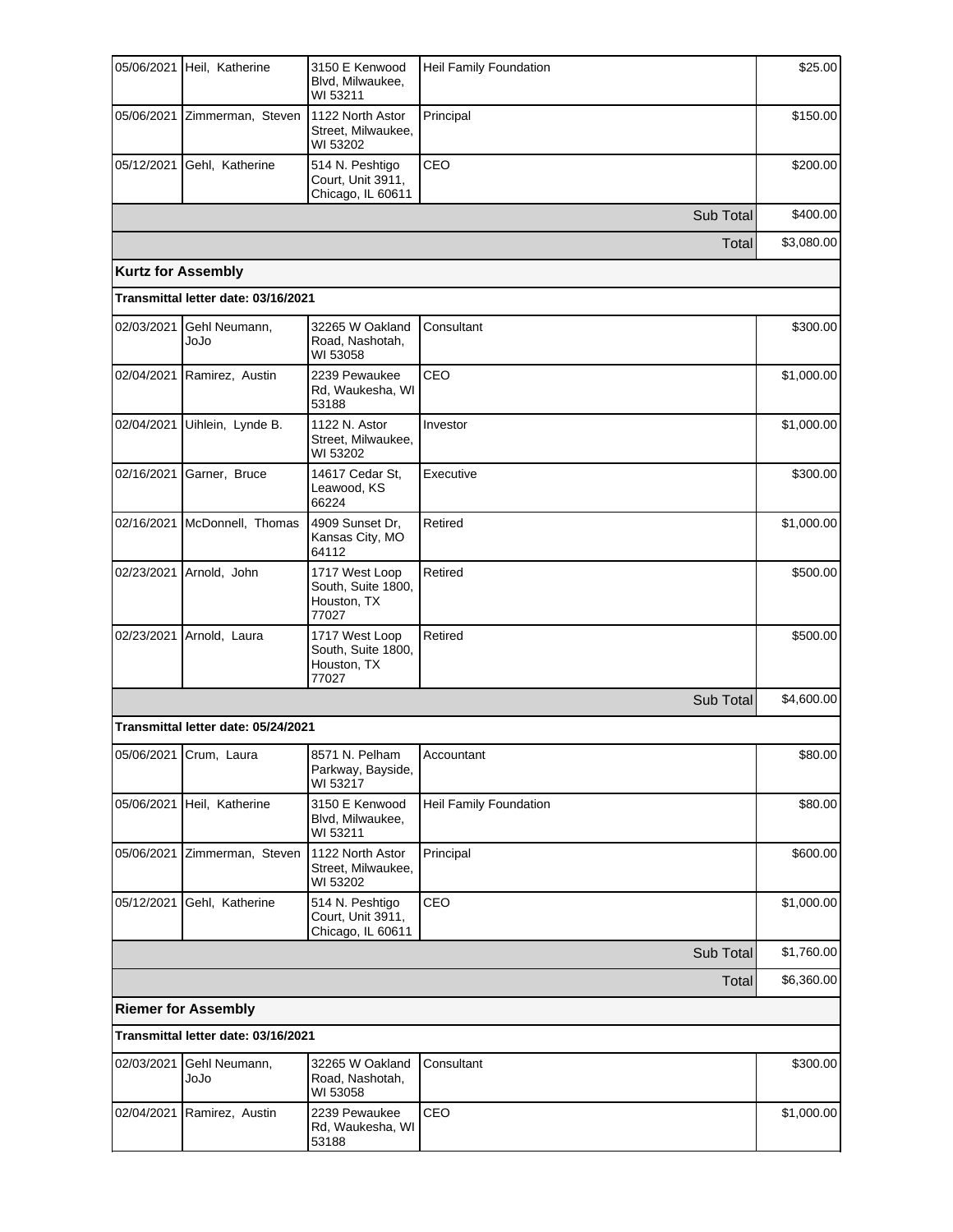| 05/06/2021                | Heil, Katherine                     | 3150 E Kenwood<br>Blvd, Milwaukee,<br>WI 53211               | <b>Heil Family Foundation</b> | \$25.00    |
|---------------------------|-------------------------------------|--------------------------------------------------------------|-------------------------------|------------|
|                           | 05/06/2021 Zimmerman, Steven        | 1122 North Astor<br>Street, Milwaukee,<br>WI 53202           | Principal                     | \$150.00   |
|                           | 05/12/2021 Gehl, Katherine          | 514 N. Peshtigo<br>Court, Unit 3911,<br>Chicago, IL 60611    | CEO                           | \$200.00   |
|                           |                                     |                                                              | Sub Total                     | \$400.00   |
|                           |                                     |                                                              | Total                         | \$3,080.00 |
| <b>Kurtz for Assembly</b> |                                     |                                                              |                               |            |
|                           | Transmittal letter date: 03/16/2021 |                                                              |                               |            |
| 02/03/2021                | Gehl Neumann,<br>ეიეი               | 32265 W Oakland<br>Road, Nashotah,<br>WI 53058               | Consultant                    | \$300.00   |
|                           | 02/04/2021 Ramirez, Austin          | 2239 Pewaukee<br>Rd, Waukesha, WI<br>53188                   | CEO                           | \$1,000.00 |
|                           | 02/04/2021 Uihlein, Lynde B.        | 1122 N. Astor<br>Street, Milwaukee,<br>WI 53202              | Investor                      | \$1,000.00 |
|                           | 02/16/2021 Garner, Bruce            | 14617 Cedar St.<br>Leawood, KS<br>66224                      | Executive                     | \$300.00   |
| 02/16/2021                | McDonnell, Thomas                   | 4909 Sunset Dr.<br>Kansas City, MO<br>64112                  | Retired                       | \$1,000.00 |
|                           | 02/23/2021 Arnold, John             | 1717 West Loop<br>South, Suite 1800,<br>Houston, TX<br>77027 | Retired                       | \$500.00   |
| 02/23/2021                | Arnold, Laura                       | 1717 West Loop<br>South, Suite 1800,<br>Houston, TX<br>77027 | Retired                       | \$500.00   |
|                           |                                     |                                                              | Sub Total                     | \$4,600.00 |
|                           | Transmittal letter date: 05/24/2021 |                                                              |                               |            |
|                           | 05/06/2021 Crum, Laura              | 8571 N. Pelham<br>Parkway, Bayside,<br>WI 53217              | Accountant                    | \$80.00    |
| 05/06/2021                | Heil, Katherine                     | 3150 E Kenwood<br>Blvd, Milwaukee,<br>WI 53211               | Heil Family Foundation        | \$80.00    |
|                           | 05/06/2021 Zimmerman, Steven        | 1122 North Astor<br>Street, Milwaukee,<br>WI 53202           | Principal                     | \$600.00   |
| 05/12/2021                | Gehl, Katherine                     | 514 N. Peshtigo<br>Court, Unit 3911,<br>Chicago, IL 60611    | CEO                           | \$1,000.00 |
|                           |                                     |                                                              | Sub Total                     | \$1,760.00 |
|                           |                                     |                                                              | Total                         | \$6,360.00 |
|                           | <b>Riemer for Assembly</b>          |                                                              |                               |            |
|                           | Transmittal letter date: 03/16/2021 |                                                              |                               |            |
| 02/03/2021                | Gehl Neumann,<br>ეიეი               | 32265 W Oakland<br>Road, Nashotah,<br>WI 53058               | Consultant                    | \$300.00   |
| 02/04/2021                | Ramirez, Austin                     | 2239 Pewaukee<br>Rd, Waukesha, WI<br>53188                   | CEO                           | \$1,000.00 |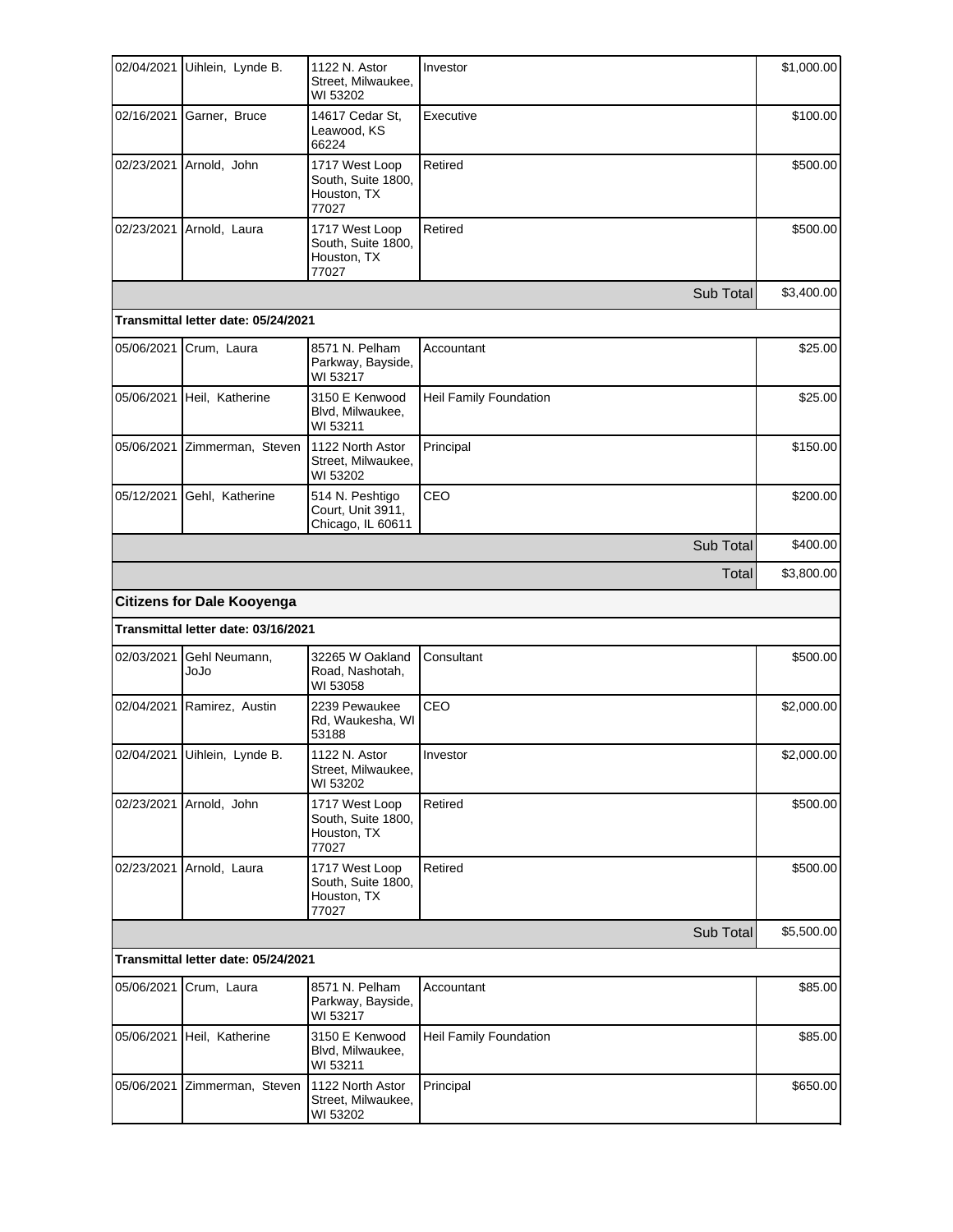| 02/04/2021 | Uihlein, Lynde B.                   | 1122 N. Astor<br>Street. Milwaukee.<br>WI 53202              | Investor                      | \$1,000.00 |
|------------|-------------------------------------|--------------------------------------------------------------|-------------------------------|------------|
|            | 02/16/2021 Garner, Bruce            | 14617 Cedar St,<br>Leawood, KS<br>66224                      | Executive                     | \$100.00   |
|            | 02/23/2021 Arnold, John             | 1717 West Loop<br>South, Suite 1800,<br>Houston, TX<br>77027 | Retired                       | \$500.00   |
|            | 02/23/2021 Arnold, Laura            | 1717 West Loop<br>South, Suite 1800,<br>Houston, TX<br>77027 | Retired                       | \$500.00   |
|            |                                     |                                                              | Sub Total                     | \$3,400.00 |
|            | Transmittal letter date: 05/24/2021 |                                                              |                               |            |
| 05/06/2021 | Crum, Laura                         | 8571 N. Pelham<br>Parkway, Bayside,<br>WI 53217              | Accountant                    | \$25.00    |
|            | 05/06/2021 Heil, Katherine          | 3150 E Kenwood<br>Blvd, Milwaukee,<br>WI 53211               | Heil Family Foundation        | \$25.00    |
| 05/06/2021 | Zimmerman, Steven                   | 1122 North Astor<br>Street, Milwaukee,<br>WI 53202           | Principal                     | \$150.00   |
| 05/12/2021 | Gehl, Katherine                     | 514 N. Peshtigo<br>Court, Unit 3911,<br>Chicago, IL 60611    | CEO                           | \$200.00   |
|            |                                     |                                                              | Sub Total                     | \$400.00   |
|            |                                     |                                                              | Total                         | \$3,800.00 |
|            | <b>Citizens for Dale Kooyenga</b>   |                                                              |                               |            |
|            | Transmittal letter date: 03/16/2021 |                                                              |                               |            |
| 02/03/2021 | Gehl Neumann,<br>ეიეი               | 32265 W Oakland<br>Road, Nashotah,<br>WI 53058               | Consultant                    | \$500.00   |
| 02/04/2021 | Ramirez, Austin                     | 2239 Pewaukee<br>Rd, Waukesha, WI<br>53188                   | CEO                           | \$2,000.00 |
|            | 02/04/2021 Uihlein, Lynde B.        | 1122 N. Astor<br>Street, Milwaukee,<br>WI 53202              | Investor                      | \$2,000.00 |
| 02/23/2021 | Arnold, John                        | 1717 West Loop<br>South, Suite 1800,<br>Houston, TX<br>77027 | Retired                       | \$500.00   |
| 02/23/2021 | Arnold, Laura                       | 1717 West Loop<br>South, Suite 1800,<br>Houston, TX<br>77027 | Retired                       | \$500.00   |
|            |                                     |                                                              | Sub Total                     | \$5,500.00 |
|            | Transmittal letter date: 05/24/2021 |                                                              |                               |            |
| 05/06/2021 | Crum, Laura                         | 8571 N. Pelham<br>Parkway, Bayside,<br>WI 53217              | Accountant                    | \$85.00    |
| 05/06/2021 | Heil, Katherine                     | 3150 E Kenwood<br>Blvd, Milwaukee,<br>WI 53211               | <b>Heil Family Foundation</b> | \$85.00    |
| 05/06/2021 | Zimmerman, Steven                   | 1122 North Astor<br>Street, Milwaukee,<br>WI 53202           | Principal                     | \$650.00   |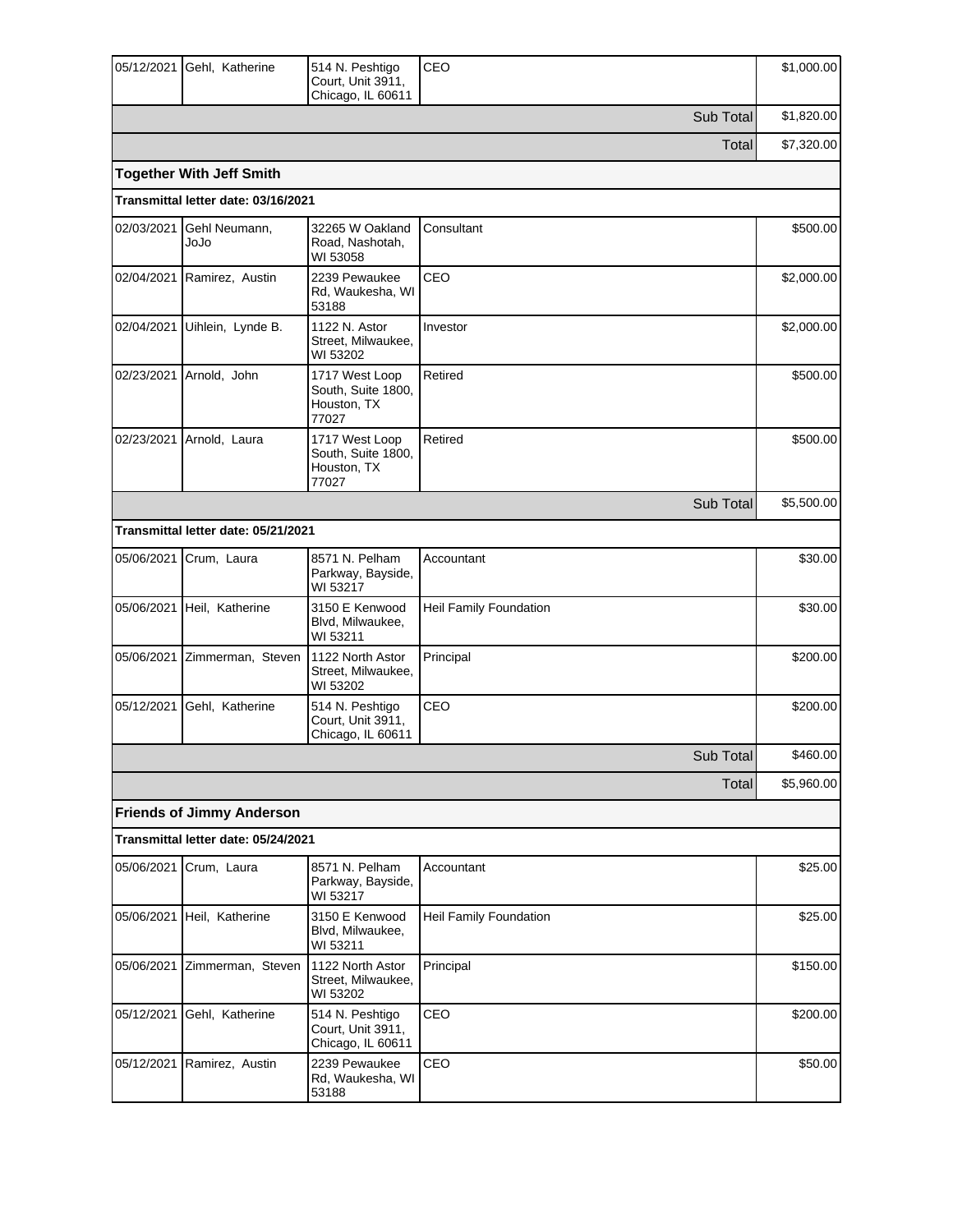| 05/12/2021 | Gehl, Katherine                     | 514 N. Peshtigo<br>Court, Unit 3911,<br>Chicago, IL 60611    | CEO                           | \$1,000.00 |
|------------|-------------------------------------|--------------------------------------------------------------|-------------------------------|------------|
|            |                                     |                                                              | Sub Total                     | \$1,820.00 |
|            |                                     |                                                              | Total                         | \$7,320.00 |
|            | <b>Together With Jeff Smith</b>     |                                                              |                               |            |
|            | Transmittal letter date: 03/16/2021 |                                                              |                               |            |
| 02/03/2021 | Gehl Neumann,<br>ეიეი               | 32265 W Oakland<br>Road, Nashotah,<br>WI 53058               | Consultant                    | \$500.00   |
| 02/04/2021 | Ramirez, Austin                     | 2239 Pewaukee<br>Rd, Waukesha, WI<br>53188                   | CEO                           | \$2,000.00 |
| 02/04/2021 | Uihlein, Lynde B.                   | 1122 N. Astor<br>Street, Milwaukee,<br>WI 53202              | Investor                      | \$2,000.00 |
|            | 02/23/2021 Arnold, John             | 1717 West Loop<br>South, Suite 1800,<br>Houston, TX<br>77027 | Retired                       | \$500.00   |
| 02/23/2021 | Arnold, Laura                       | 1717 West Loop<br>South, Suite 1800,<br>Houston, TX<br>77027 | Retired                       | \$500.00   |
|            |                                     |                                                              | Sub Total                     | \$5,500.00 |
|            | Transmittal letter date: 05/21/2021 |                                                              |                               |            |
| 05/06/2021 | Crum, Laura                         | 8571 N. Pelham<br>Parkway, Bayside,<br>WI 53217              | Accountant                    | \$30.00    |
| 05/06/2021 | Heil, Katherine                     | 3150 E Kenwood<br>Blvd, Milwaukee,<br>WI 53211               | Heil Family Foundation        | \$30.00    |
|            | 05/06/2021 Zimmerman, Steven        | 1122 North Astor<br>Street, Milwaukee,<br>WI 53202           | Principal                     | \$200.00   |
| 05/12/2021 | Gehl, Katherine                     | 514 N. Peshtigo<br>Court, Unit 3911,<br>Chicago, IL 60611    | CEO                           | \$200.00   |
|            |                                     |                                                              | Sub Total                     | \$460.00   |
|            |                                     |                                                              | Total                         | \$5,960.00 |
|            | <b>Friends of Jimmy Anderson</b>    |                                                              |                               |            |
|            | Transmittal letter date: 05/24/2021 |                                                              |                               |            |
| 05/06/2021 | Crum, Laura                         | 8571 N. Pelham<br>Parkway, Bayside,<br>WI 53217              | Accountant                    | \$25.00    |
|            | 05/06/2021 Heil, Katherine          | 3150 E Kenwood<br>Blvd, Milwaukee,<br>WI 53211               | <b>Heil Family Foundation</b> | \$25.00    |
|            | 05/06/2021 Zimmerman, Steven        | 1122 North Astor<br>Street, Milwaukee,<br>WI 53202           | Principal                     | \$150.00   |
| 05/12/2021 | Gehl, Katherine                     | 514 N. Peshtigo<br>Court, Unit 3911,<br>Chicago, IL 60611    | CEO                           | \$200.00   |
| 05/12/2021 | Ramirez, Austin                     | 2239 Pewaukee<br>Rd, Waukesha, WI<br>53188                   | CEO                           | \$50.00    |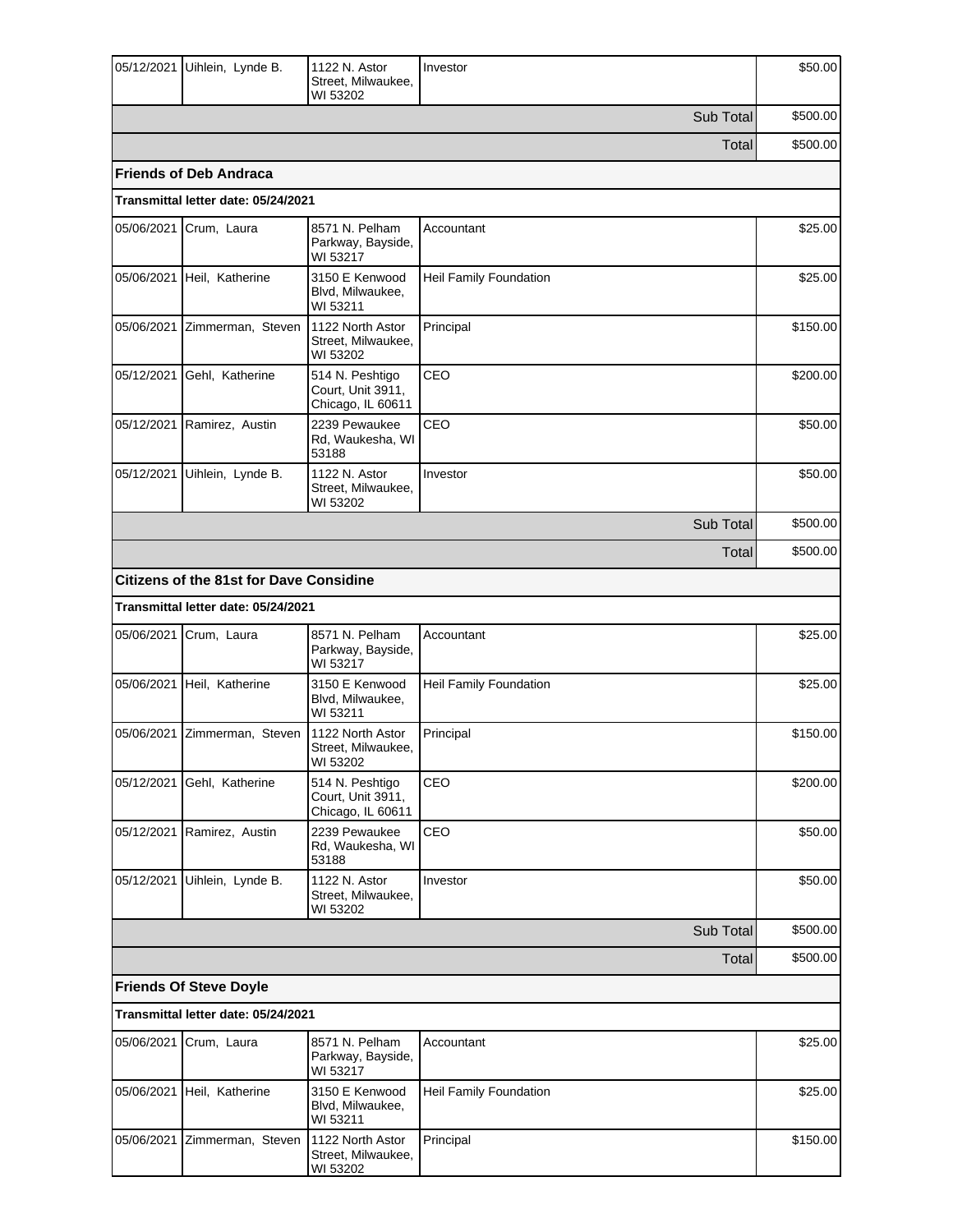| 05/12/2021 | Uihlein, Lynde B.                              | 1122 N. Astor<br>Street, Milwaukee,<br>WI 53202           | Investor               | \$50.00  |
|------------|------------------------------------------------|-----------------------------------------------------------|------------------------|----------|
|            |                                                |                                                           | Sub Total              | \$500.00 |
|            |                                                |                                                           | Total                  | \$500.00 |
|            | <b>Friends of Deb Andraca</b>                  |                                                           |                        |          |
|            | Transmittal letter date: 05/24/2021            |                                                           |                        |          |
| 05/06/2021 | Crum, Laura                                    | 8571 N. Pelham<br>Parkway, Bayside,<br>WI 53217           | Accountant             | \$25.00  |
|            | 05/06/2021 Heil, Katherine                     | 3150 E Kenwood<br>Blvd, Milwaukee,<br>WI 53211            | Heil Family Foundation | \$25.00  |
| 05/06/2021 | Zimmerman, Steven                              | 1122 North Astor<br>Street, Milwaukee,<br>WI 53202        | Principal              | \$150.00 |
| 05/12/2021 | Gehl, Katherine                                | 514 N. Peshtigo<br>Court, Unit 3911,<br>Chicago, IL 60611 | CEO                    | \$200.00 |
|            | 05/12/2021 Ramirez, Austin                     | 2239 Pewaukee<br>Rd, Waukesha, WI<br>53188                | CEO                    | \$50.00  |
| 05/12/2021 | Uihlein, Lynde B.                              | 1122 N. Astor<br>Street, Milwaukee,<br>WI 53202           | Investor               | \$50.00  |
|            |                                                |                                                           | Sub Total              | \$500.00 |
|            |                                                |                                                           | Total                  | \$500.00 |
|            | <b>Citizens of the 81st for Dave Considine</b> |                                                           |                        |          |
|            | Transmittal letter date: 05/24/2021            |                                                           |                        |          |
| 05/06/2021 | Crum, Laura                                    | 8571 N. Pelham<br>Parkway, Bayside,<br>WI 53217           | Accountant             | \$25.00  |
| 05/06/2021 | Heil, Katherine                                | 3150 E Kenwood<br>Blvd, Milwaukee,<br>WI 53211            | Heil Family Foundation | \$25.00  |
|            | 05/06/2021 Zimmerman, Steven                   | 1122 North Astor<br>Street, Milwaukee,<br>WI 53202        | Principal              | \$150.00 |
| 05/12/2021 | Gehl, Katherine                                | 514 N. Peshtigo<br>Court, Unit 3911,<br>Chicago, IL 60611 | CEO                    | \$200.00 |
| 05/12/2021 | Ramirez, Austin                                | 2239 Pewaukee<br>Rd, Waukesha, WI<br>53188                | CEO                    | \$50.00  |
| 05/12/2021 | Uihlein, Lynde B.                              | 1122 N. Astor<br>Street, Milwaukee,<br>WI 53202           | Investor               | \$50.00  |
|            |                                                |                                                           | Sub Total              | \$500.00 |
|            |                                                |                                                           | Total                  | \$500.00 |
|            | <b>Friends Of Steve Doyle</b>                  |                                                           |                        |          |
|            | Transmittal letter date: 05/24/2021            |                                                           |                        |          |
| 05/06/2021 | Crum, Laura                                    | 8571 N. Pelham<br>Parkway, Bayside,<br>WI 53217           | Accountant             | \$25.00  |
|            | 05/06/2021 Heil, Katherine                     | 3150 E Kenwood<br>Blvd, Milwaukee,<br>WI 53211            | Heil Family Foundation | \$25.00  |
| 05/06/2021 | Zimmerman, Steven                              | 1122 North Astor<br>Street, Milwaukee,<br>WI 53202        | Principal              | \$150.00 |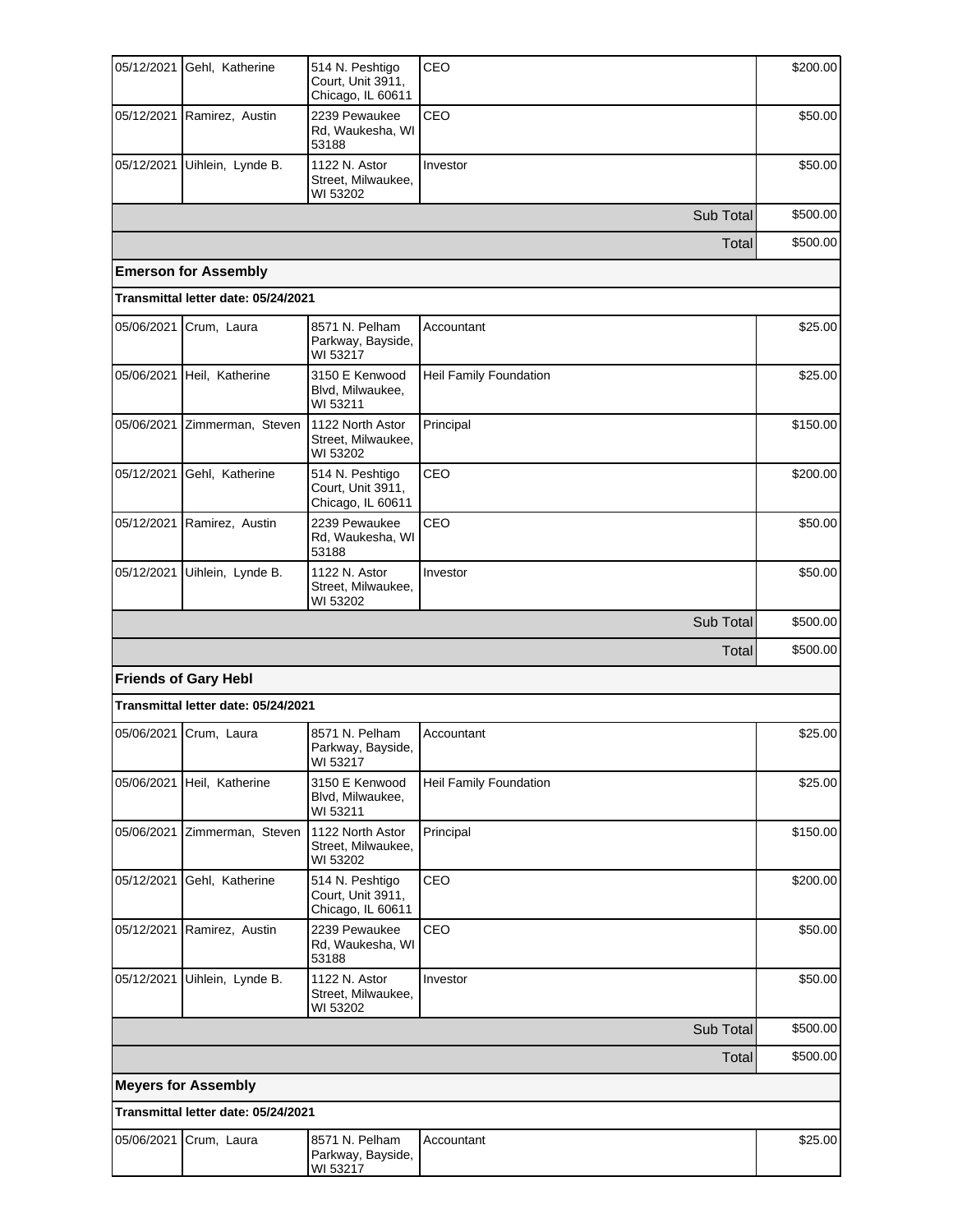| 05/12/2021 | Gehl, Katherine                     | 514 N. Peshtigo<br>Court, Unit 3911,<br>Chicago, IL 60611 | CEO                    | \$200.00 |
|------------|-------------------------------------|-----------------------------------------------------------|------------------------|----------|
| 05/12/2021 | Ramirez, Austin                     | 2239 Pewaukee<br>Rd, Waukesha, WI<br>53188                | CEO                    | \$50.00  |
|            | 05/12/2021 Uihlein, Lynde B.        | 1122 N. Astor<br>Street, Milwaukee,<br>WI 53202           | Investor               | \$50.00  |
|            |                                     |                                                           | Sub Total              | \$500.00 |
|            |                                     |                                                           | Total                  | \$500.00 |
|            | <b>Emerson for Assembly</b>         |                                                           |                        |          |
|            | Transmittal letter date: 05/24/2021 |                                                           |                        |          |
|            | 05/06/2021 Crum, Laura              | 8571 N. Pelham<br>Parkway, Bayside,<br>WI 53217           | Accountant             | \$25.00  |
| 05/06/2021 | Heil, Katherine                     | 3150 E Kenwood<br>Blvd, Milwaukee,<br>WI 53211            | Heil Family Foundation | \$25.00  |
| 05/06/2021 | Zimmerman, Steven                   | 1122 North Astor<br>Street, Milwaukee,<br>WI 53202        | Principal              | \$150.00 |
| 05/12/2021 | Gehl, Katherine                     | 514 N. Peshtigo<br>Court, Unit 3911,<br>Chicago, IL 60611 | CEO                    | \$200.00 |
| 05/12/2021 | Ramirez, Austin                     | 2239 Pewaukee<br>Rd, Waukesha, WI<br>53188                | CEO                    | \$50.00  |
| 05/12/2021 | Uihlein, Lynde B.                   | 1122 N. Astor<br>Street, Milwaukee,<br>WI 53202           | Investor               | \$50.00  |
|            |                                     |                                                           | Sub Total              | \$500.00 |
|            |                                     |                                                           | Total                  | \$500.00 |
|            | <b>Friends of Gary Hebl</b>         |                                                           |                        |          |
|            | Transmittal letter date: 05/24/2021 |                                                           |                        |          |
|            | 05/06/2021 Crum, Laura              | 8571 N. Pelham<br>Parkway, Bayside,<br>WI 53217           | Accountant             | \$25.00  |
|            | 05/06/2021 Heil, Katherine          | 3150 E Kenwood<br>Blvd, Milwaukee,<br>WI 53211            | Heil Family Foundation | \$25.00  |
| 05/06/2021 | Zimmerman, Steven                   | 1122 North Astor<br>Street, Milwaukee,<br>WI 53202        | Principal              | \$150.00 |
| 05/12/2021 | Gehl, Katherine                     | 514 N. Peshtigo<br>Court, Unit 3911,<br>Chicago, IL 60611 | CEO                    | \$200.00 |
|            | 05/12/2021 Ramirez, Austin          | 2239 Pewaukee<br>Rd, Waukesha, WI<br>53188                | CEO                    | \$50.00  |
| 05/12/2021 | Uihlein, Lynde B.                   | 1122 N. Astor<br>Street, Milwaukee,<br>WI 53202           | Investor               | \$50.00  |
|            |                                     |                                                           | Sub Total              | \$500.00 |
|            |                                     |                                                           | Total                  | \$500.00 |
|            | <b>Meyers for Assembly</b>          |                                                           |                        |          |
|            | Transmittal letter date: 05/24/2021 |                                                           |                        |          |
| 05/06/2021 | Crum, Laura                         | 8571 N. Pelham                                            | Accountant             | \$25.00  |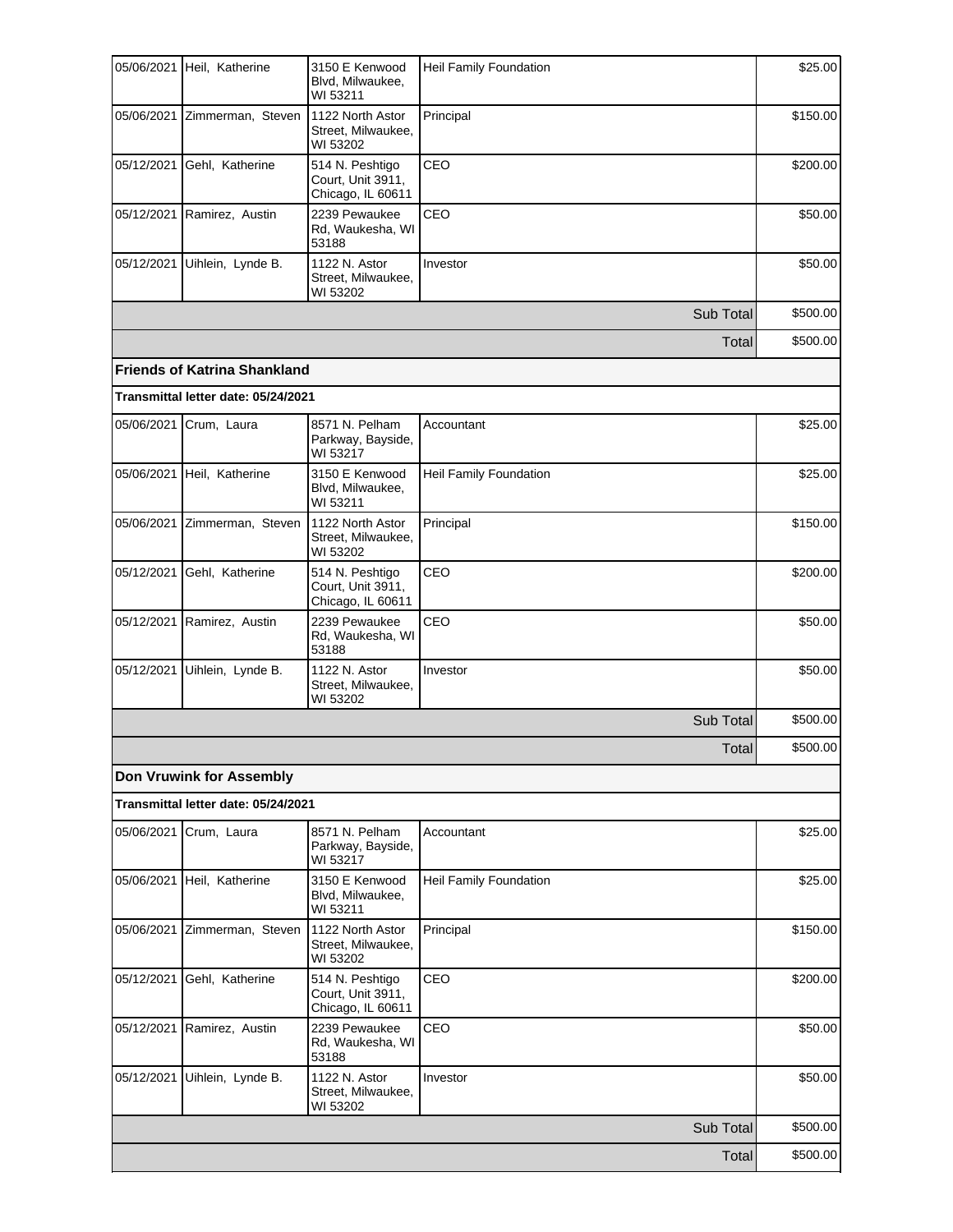| 05/06/2021 | Heil, Katherine                     | 3150 E Kenwood<br>Blvd, Milwaukee,<br>WI 53211            | Heil Family Foundation        | \$25.00  |
|------------|-------------------------------------|-----------------------------------------------------------|-------------------------------|----------|
|            | 05/06/2021 Zimmerman, Steven        | 1122 North Astor<br>Street, Milwaukee,<br>WI 53202        | Principal                     | \$150.00 |
| 05/12/2021 | Gehl, Katherine                     | 514 N. Peshtigo<br>Court, Unit 3911,<br>Chicago, IL 60611 | CEO                           | \$200.00 |
| 05/12/2021 | Ramirez, Austin                     | 2239 Pewaukee<br>Rd, Waukesha, WI<br>53188                | CEO                           | \$50.00  |
| 05/12/2021 | Uihlein, Lynde B.                   | 1122 N. Astor<br>Street, Milwaukee,<br>WI 53202           | Investor                      | \$50.00  |
|            |                                     |                                                           | Sub Total                     | \$500.00 |
|            |                                     |                                                           | Total                         | \$500.00 |
|            | <b>Friends of Katrina Shankland</b> |                                                           |                               |          |
|            | Transmittal letter date: 05/24/2021 |                                                           |                               |          |
| 05/06/2021 | Crum, Laura                         | 8571 N. Pelham<br>Parkway, Bayside,<br>WI 53217           | Accountant                    | \$25.00  |
| 05/06/2021 | Heil, Katherine                     | 3150 E Kenwood<br>Blvd, Milwaukee,<br>WI 53211            | Heil Family Foundation        | \$25.00  |
| 05/06/2021 | Zimmerman, Steven                   | 1122 North Astor<br>Street, Milwaukee,<br>WI 53202        | Principal                     | \$150.00 |
| 05/12/2021 | Gehl, Katherine                     | 514 N. Peshtigo<br>Court, Unit 3911,<br>Chicago, IL 60611 | CEO                           | \$200.00 |
| 05/12/2021 | Ramirez, Austin                     | 2239 Pewaukee<br>Rd, Waukesha, WI<br>53188                | CEO                           | \$50.00  |
| 05/12/2021 | Uihlein, Lynde B.                   | 1122 N. Astor<br>Street, Milwaukee,<br>WI 53202           | Investor                      | \$50.00  |
|            |                                     |                                                           | Sub Total                     | \$500.00 |
|            |                                     |                                                           | Total                         | \$500.00 |
|            | <b>Don Vruwink for Assembly</b>     |                                                           |                               |          |
|            | Transmittal letter date: 05/24/2021 |                                                           |                               |          |
| 05/06/2021 | Crum, Laura                         | 8571 N. Pelham<br>Parkway, Bayside,<br>WI 53217           | Accountant                    | \$25.00  |
|            | 05/06/2021 Heil, Katherine          | 3150 E Kenwood<br>Blvd, Milwaukee,<br>WI 53211            | <b>Heil Family Foundation</b> | \$25.00  |
| 05/06/2021 | Zimmerman, Steven                   | 1122 North Astor<br>Street, Milwaukee,<br>WI 53202        | Principal                     | \$150.00 |
| 05/12/2021 | Gehl, Katherine                     | 514 N. Peshtigo<br>Court, Unit 3911,<br>Chicago, IL 60611 | CEO                           | \$200.00 |
| 05/12/2021 | Ramirez, Austin                     | 2239 Pewaukee<br>Rd, Waukesha, WI<br>53188                | CEO                           | \$50.00  |
| 05/12/2021 | Uihlein, Lynde B.                   | 1122 N. Astor<br>Street, Milwaukee,<br>WI 53202           | Investor                      | \$50.00  |
|            |                                     |                                                           | Sub Total                     | \$500.00 |
|            |                                     |                                                           | Total                         | \$500.00 |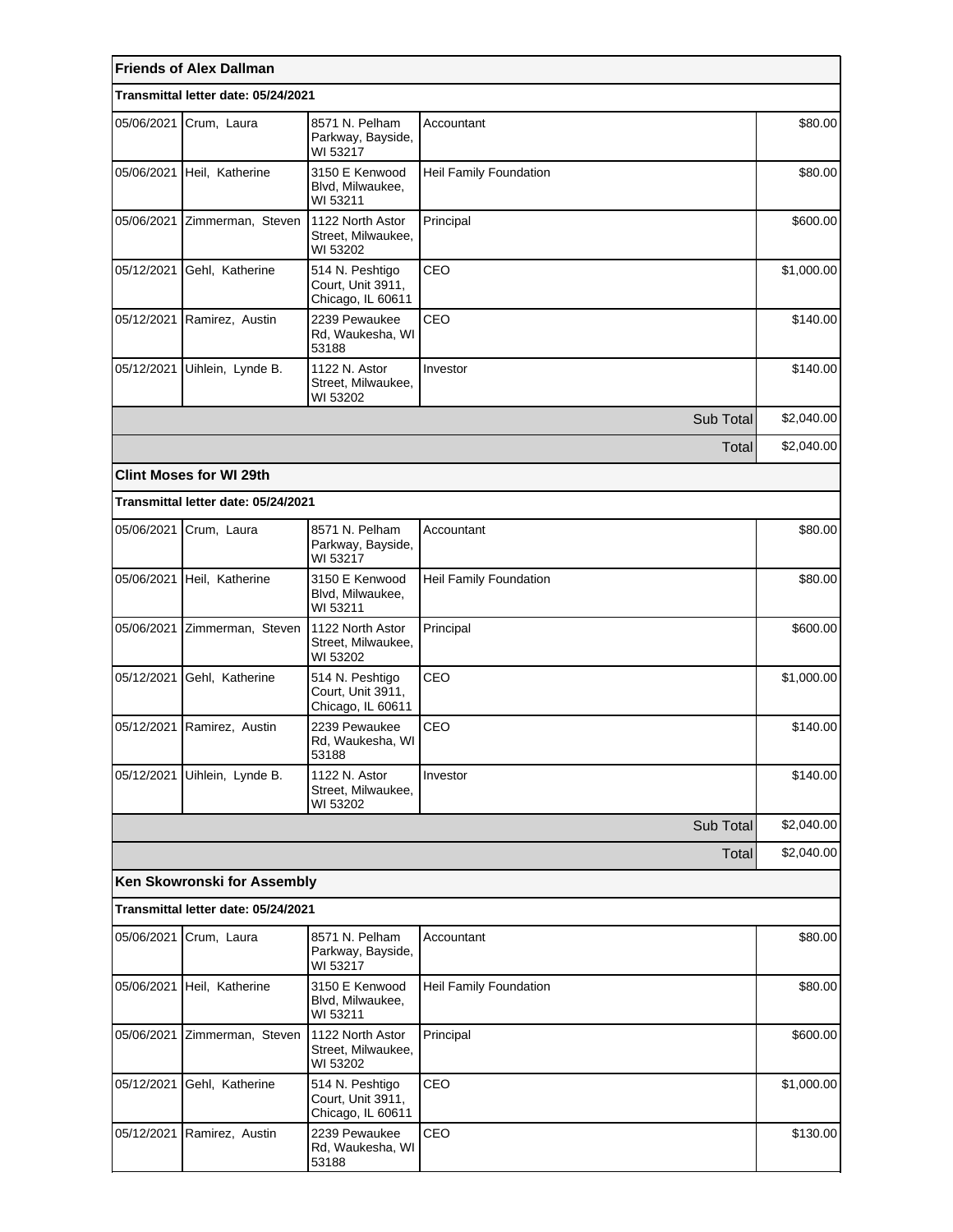|            | <b>Friends of Alex Dallman</b>                                 |                                                           |                        |            |
|------------|----------------------------------------------------------------|-----------------------------------------------------------|------------------------|------------|
|            | Transmittal letter date: 05/24/2021                            |                                                           |                        |            |
| 05/06/2021 | Crum, Laura                                                    | 8571 N. Pelham<br>Parkway, Bayside,<br>WI 53217           | Accountant             | \$80.00    |
|            | 05/06/2021 Heil, Katherine                                     | 3150 E Kenwood<br>Blvd, Milwaukee,<br>WI 53211            | Heil Family Foundation | \$80.00    |
|            | 05/06/2021 Zimmerman, Steven                                   | 1122 North Astor<br>Street, Milwaukee,<br>WI 53202        | Principal              | \$600.00   |
| 05/12/2021 | Gehl, Katherine                                                | 514 N. Peshtigo<br>Court, Unit 3911,<br>Chicago, IL 60611 | CEO                    | \$1,000.00 |
| 05/12/2021 | Ramirez, Austin                                                | 2239 Pewaukee<br>Rd, Waukesha, WI<br>53188                | CEO                    | \$140.00   |
| 05/12/2021 | Uihlein, Lynde B.                                              | 1122 N. Astor<br>Street, Milwaukee,<br>WI 53202           | Investor               | \$140.00   |
|            |                                                                |                                                           | Sub Total              | \$2,040.00 |
|            |                                                                |                                                           | Total                  | \$2,040.00 |
|            | <b>Clint Moses for WI 29th</b>                                 |                                                           |                        |            |
|            | Transmittal letter date: 05/24/2021                            |                                                           |                        |            |
|            | 05/06/2021 Crum, Laura                                         | 8571 N. Pelham<br>Parkway, Bayside,<br>WI 53217           | Accountant             | \$80.00    |
| 05/06/2021 | Heil, Katherine                                                | 3150 E Kenwood<br>Blvd, Milwaukee,<br>WI 53211            | Heil Family Foundation | \$80.00    |
| 05/06/2021 | Zimmerman, Steven                                              | 1122 North Astor<br>Street, Milwaukee,<br>WI 53202        | Principal              | \$600.00   |
| 05/12/2021 | Gehl, Katherine                                                | 514 N. Peshtigo<br>Court, Unit 3911,<br>Chicago, IL 60611 | CEO                    |            |
| 05/12/2021 | Ramirez, Austin                                                | 2239 Pewaukee<br>Rd, Waukesha, WI<br>53188                | CEO                    | \$140.00   |
| 05/12/2021 | Uihlein, Lynde B.                                              | 1122 N. Astor<br>Street, Milwaukee,<br>WI 53202           | Investor               | \$140.00   |
|            |                                                                |                                                           | Sub Total              | \$2,040.00 |
|            |                                                                |                                                           | Total                  | \$2,040.00 |
|            | Ken Skowronski for Assembly                                    |                                                           |                        |            |
|            | Transmittal letter date: 05/24/2021                            |                                                           |                        |            |
| 05/06/2021 | 8571 N. Pelham<br>Crum, Laura<br>Parkway, Bayside,<br>WI 53217 |                                                           | Accountant             | \$80.00    |
|            | 05/06/2021 Heil, Katherine                                     | 3150 E Kenwood<br>Blvd, Milwaukee,<br>WI 53211            | Heil Family Foundation | \$80.00    |
| 05/06/2021 | Zimmerman, Steven                                              | 1122 North Astor<br>Street, Milwaukee,<br>WI 53202        | Principal              | \$600.00   |
| 05/12/2021 | Gehl, Katherine                                                | 514 N. Peshtigo<br>Court, Unit 3911,<br>Chicago, IL 60611 | CEO                    | \$1,000.00 |
|            | 05/12/2021 Ramirez, Austin                                     | 2239 Pewaukee<br>Rd, Waukesha, WI<br>53188                | CEO                    | \$130.00   |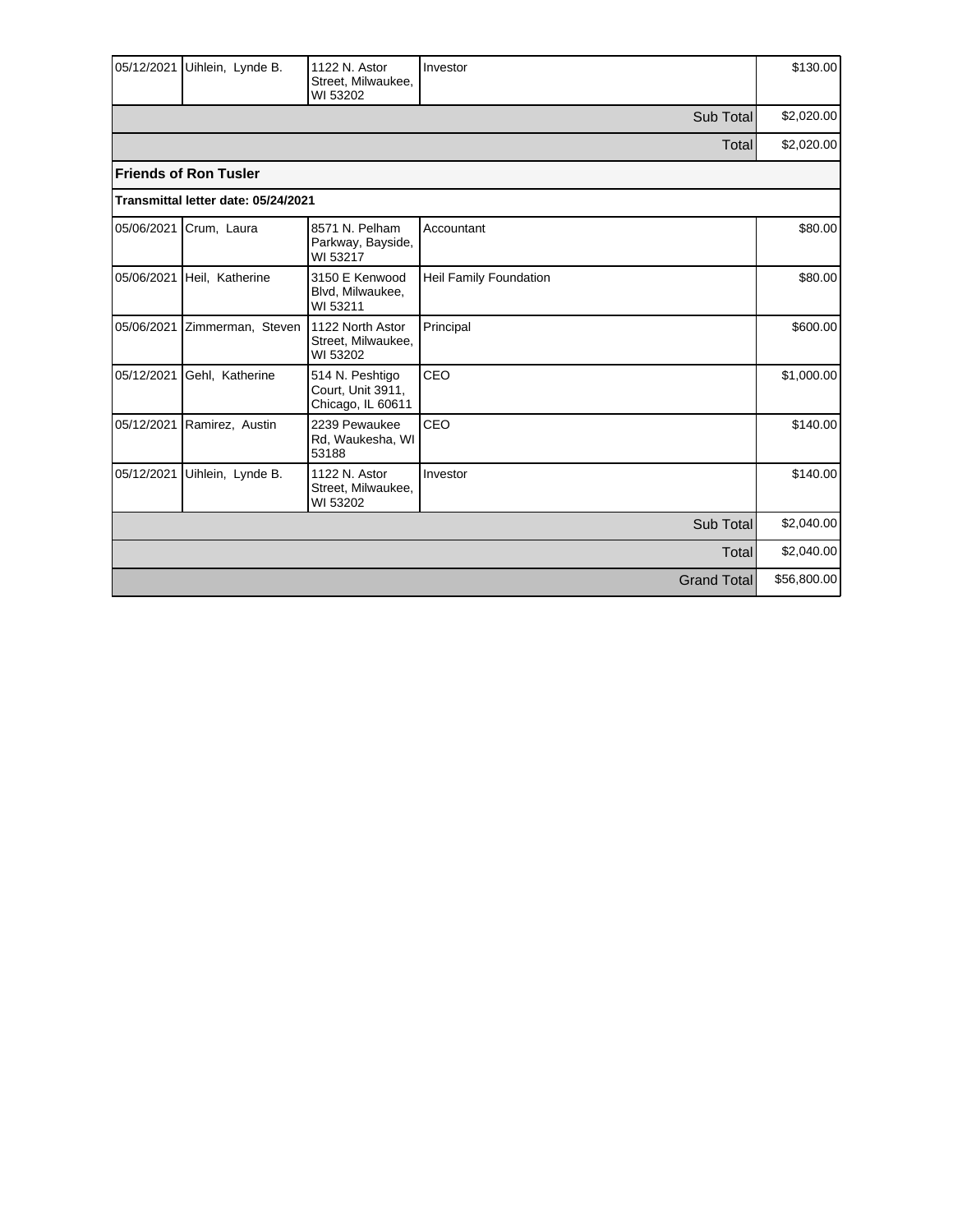| 05/12/2021 | Uihlein, Lynde B.                   | 1122 N. Astor<br>Street, Milwaukee,<br>WI 53202           | Investor               | \$130.00    |
|------------|-------------------------------------|-----------------------------------------------------------|------------------------|-------------|
|            |                                     |                                                           | Sub Total              | \$2,020.00  |
|            |                                     |                                                           | Total                  | \$2,020.00  |
|            | <b>Friends of Ron Tusler</b>        |                                                           |                        |             |
|            | Transmittal letter date: 05/24/2021 |                                                           |                        |             |
| 05/06/2021 | Crum, Laura                         | 8571 N. Pelham<br>Parkway, Bayside,<br>WI 53217           | Accountant             | \$80.00     |
| 05/06/2021 | Heil, Katherine                     | 3150 E Kenwood<br>Blvd, Milwaukee,<br>WI 53211            | Heil Family Foundation | \$80.00     |
| 05/06/2021 | Zimmerman, Steven                   | 1122 North Astor<br>Street, Milwaukee,<br>WI 53202        | Principal              | \$600.00    |
| 05/12/2021 | Gehl, Katherine                     | 514 N. Peshtigo<br>Court, Unit 3911,<br>Chicago, IL 60611 | CEO                    | \$1,000.00  |
| 05/12/2021 | Ramirez, Austin                     | 2239 Pewaukee<br>Rd, Waukesha, WI<br>53188                | CEO                    | \$140.00    |
| 05/12/2021 | Uihlein, Lynde B.                   | 1122 N. Astor<br>Street, Milwaukee,<br>WI 53202           | Investor               | \$140.00    |
|            |                                     |                                                           | Sub Total              | \$2,040.00  |
| Total      |                                     |                                                           |                        |             |
|            |                                     |                                                           | <b>Grand Total</b>     | \$56,800.00 |